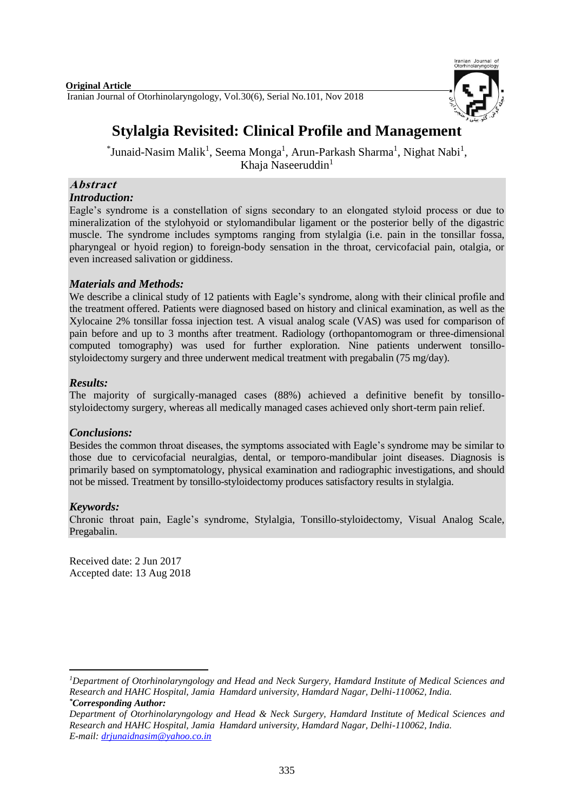

# **Stylalgia Revisited: Clinical Profile and Management**

\*Junaid-Nasim Malik<sup>1</sup>, Seema Monga<sup>1</sup>, Arun-Parkash Sharma<sup>1</sup>, Nighat Nabi<sup>1</sup>, Khaja Naseeruddin $1$ 

#### **Abstract** *Introduction:*

Eagle's syndrome is a constellation of signs secondary to an elongated styloid process or due to mineralization of the stylohyoid or stylomandibular ligament or the posterior belly of the digastric muscle. The syndrome includes symptoms ranging from stylalgia (i.e. pain in the tonsillar fossa, pharyngeal or hyoid region) to foreign-body sensation in the throat, cervicofacial pain, otalgia, or even increased salivation or giddiness.

## *Materials and Methods:*

We describe a clinical study of 12 patients with Eagle's syndrome, along with their clinical profile and the treatment offered. Patients were diagnosed based on history and clinical examination, as well as the Xylocaine 2% tonsillar fossa injection test. A visual analog scale (VAS) was used for comparison of pain before and up to 3 months after treatment. Radiology (orthopantomogram or three-dimensional computed tomography) was used for further exploration. Nine patients underwent tonsillostyloidectomy surgery and three underwent medical treatment with pregabalin (75 mg/day).

## *Results:*

The majority of surgically-managed cases (88%) achieved a definitive benefit by tonsillostyloidectomy surgery, whereas all medically managed cases achieved only short-term pain relief.

## *Conclusions:*

Besides the common throat diseases, the symptoms associated with Eagle's syndrome may be similar to those due to cervicofacial neuralgias, dental, or temporo-mandibular joint diseases. Diagnosis is primarily based on symptomatology, physical examination and radiographic investigations, and should not be missed. Treatment by tonsillo-styloidectomy produces satisfactory results in stylalgia.

## *Keywords:*

Chronic throat pain, Eagle's syndrome, Stylalgia, Tonsillo-styloidectomy, Visual Analog Scale, Pregabalin.

Received date: 2 Jun 2017 Accepted date: 13 Aug 2018

<sup>1</sup> *<sup>1</sup>Department of Otorhinolaryngology and Head and Neck Surgery, Hamdard Institute of Medical Sciences and Research and HAHC Hospital, Jamia Hamdard university, Hamdard Nagar, Delhi-110062, India. \*Corresponding Author:* 

*Department of Otorhinolaryngology and Head & Neck Surgery, Hamdard Institute of Medical Sciences and Research and HAHC Hospital, Jamia Hamdard university, Hamdard Nagar, Delhi-110062, India. E-mail: [drjunaidnasim@yahoo.co.in](mailto:drjunaidnasim@yahoo.co.in)*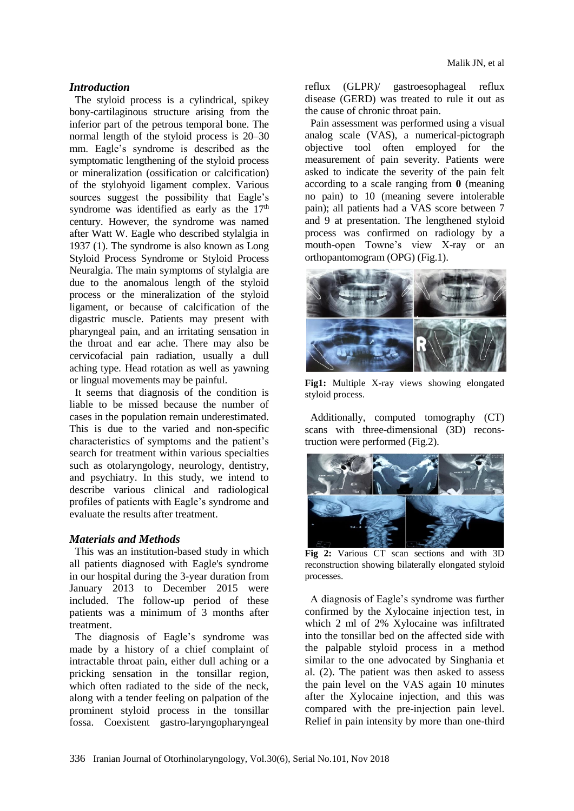#### *Introduction*

The styloid process is a cylindrical, spikey bony-cartilaginous structure arising from the inferior part of the petrous temporal bone. The normal length of the styloid process is 20–30 mm. Eagle's syndrome is described as the symptomatic lengthening of the styloid process or mineralization (ossification or calcification) of the stylohyoid ligament complex. Various sources suggest the possibility that Eagle's syndrome was identified as early as the  $17<sup>th</sup>$ century. However, the syndrome was named after Watt W. Eagle who described stylalgia in 1937 (1). The syndrome is also known as Long Styloid Process Syndrome or Styloid Process Neuralgia. The main symptoms of stylalgia are due to the anomalous length of the styloid process or the mineralization of the styloid ligament, or because of calcification of the digastric muscle. Patients may present with pharyngeal pain, and an irritating sensation in the throat and ear ache. There may also be cervicofacial pain radiation, usually a dull aching type. Head rotation as well as yawning or lingual movements may be painful.

It seems that diagnosis of the condition is liable to be missed because the number of cases in the population remain underestimated. This is due to the varied and non-specific characteristics of symptoms and the patient's search for treatment within various specialties such as otolaryngology, neurology, dentistry, and psychiatry. In this study, we intend to describe various clinical and radiological profiles of patients with Eagle's syndrome and evaluate the results after treatment.

#### *Materials and Methods*

This was an institution-based study in which all patients diagnosed with Eagle's syndrome in our hospital during the 3-year duration from January 2013 to December 2015 were included. The follow-up period of these patients was a minimum of 3 months after treatment.

The diagnosis of Eagle's syndrome was made by a history of a chief complaint of intractable throat pain, either dull aching or a pricking sensation in the tonsillar region, which often radiated to the side of the neck, along with a tender feeling on palpation of the prominent styloid process in the tonsillar fossa. Coexistent gastro-laryngopharyngeal reflux (GLPR)/ gastroesophageal reflux disease (GERD) was treated to rule it out as the cause of chronic throat pain.

Pain assessment was performed using a visual analog scale (VAS), a numerical-pictograph objective tool often employed for the measurement of pain severity. Patients were asked to indicate the severity of the pain felt according to a scale ranging from **0** (meaning no pain) to 10 (meaning severe intolerable pain); all patients had a VAS score between 7 and 9 at presentation. The lengthened styloid process was confirmed on radiology by a mouth-open Towne's view X-ray or an orthopantomogram (OPG) (Fig.1).



**Fig1:** Multiple X-ray views showing elongated styloid process.

Additionally, computed tomography (CT) scans with three-dimensional (3D) reconstruction were performed (Fig.2).



**Fig 2:** Various CT scan sections and with 3D reconstruction showing bilaterally elongated styloid processes.

A diagnosis of Eagle's syndrome was further confirmed by the Xylocaine injection test, in which 2 ml of 2% Xylocaine was infiltrated into the tonsillar bed on the affected side with the palpable styloid process in a method similar to the one advocated by Singhania et al. (2). The patient was then asked to assess the pain level on the VAS again 10 minutes after the Xylocaine injection, and this was compared with the pre-injection pain level. Relief in pain intensity by more than one-third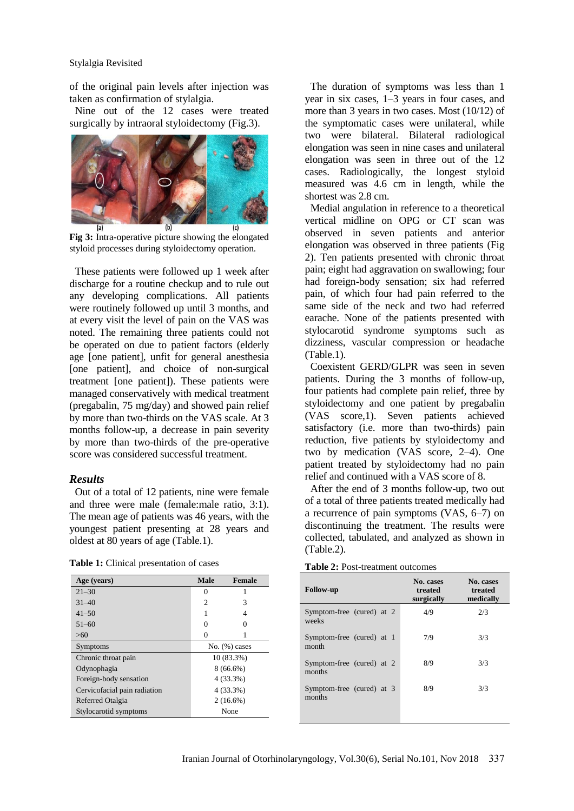#### Stylalgia Revisited

of the original pain levels after injection was taken as confirmation of stylalgia.

Nine out of the 12 cases were treated surgically by intraoral styloidectomy (Fig.3).



**Fig 3:** Intra-operative picture showing the elongated styloid processes during styloidectomy operation.

These patients were followed up 1 week after discharge for a routine checkup and to rule out any developing complications. All patients were routinely followed up until 3 months, and at every visit the level of pain on the VAS was noted. The remaining three patients could not be operated on due to patient factors (elderly age [one patient], unfit for general anesthesia [one patient], and choice of non-surgical treatment [one patient]). These patients were managed conservatively with medical treatment (pregabalin, 75 mg/day) and showed pain relief by more than two-thirds on the VAS scale. At 3 months follow-up, a decrease in pain severity by more than two-thirds of the pre-operative score was considered successful treatment.

#### *Results*

Out of a total of 12 patients, nine were female and three were male (female:male ratio, 3:1). The mean age of patients was 46 years, with the youngest patient presenting at 28 years and oldest at 80 years of age (Table.1).

**Table 1:** Clinical presentation of cases

| Age (years)                  | <b>Male</b>        | Female |
|------------------------------|--------------------|--------|
| $21 - 30$                    | 0                  |        |
| $31 - 40$                    | $\overline{c}$     | 3      |
| $41 - 50$                    | 1                  | 4      |
| $51 - 60$                    | 0                  |        |
| >60                          |                    |        |
| Symptoms                     | $No.$ $(\%)$ cases |        |
| Chronic throat pain          | 10 (83.3%)         |        |
| Odynophagia                  | $8(66.6\%)$        |        |
| Foreign-body sensation       | 4(33.3%)           |        |
| Cervicofacial pain radiation | 4 (33.3%)          |        |
| Referred Otalgia             | $2(16.6\%)$        |        |
| Stylocarotid symptoms        | None               |        |

The duration of symptoms was less than 1 year in six cases, 1–3 years in four cases, and more than 3 years in two cases. Most (10/12) of the symptomatic cases were unilateral, while two were bilateral. Bilateral radiological elongation was seen in nine cases and unilateral elongation was seen in three out of the 12 cases. Radiologically, the longest styloid measured was 4.6 cm in length, while the shortest was 2.8 cm.

Medial angulation in reference to a theoretical vertical midline on OPG or CT scan was observed in seven patients and anterior elongation was observed in three patients (Fig 2). Ten patients presented with chronic throat pain; eight had aggravation on swallowing; four had foreign-body sensation; six had referred pain, of which four had pain referred to the same side of the neck and two had referred earache. None of the patients presented with stylocarotid syndrome symptoms such as dizziness, vascular compression or headache (Table.1).

Coexistent GERD/GLPR was seen in seven patients. During the 3 months of follow-up, four patients had complete pain relief, three by styloidectomy and one patient by pregabalin (VAS score,1). Seven patients achieved satisfactory (i.e. more than two-thirds) pain reduction, five patients by styloidectomy and two by medication (VAS score, 2–4). One patient treated by styloidectomy had no pain relief and continued with a VAS score of 8.

After the end of 3 months follow-up, two out of a total of three patients treated medically had a recurrence of pain symptoms (VAS, 6–7) on discontinuing the treatment. The results were collected, tabulated, and analyzed as shown in (Table.2).

**Table 2:** Post-treatment outcomes

| <b>Follow-up</b>                    | No. cases<br>treated<br>surgically | No. cases<br>treated<br>medically |
|-------------------------------------|------------------------------------|-----------------------------------|
| Symptom-free (cured) at 2<br>weeks  | 4/9                                | 2/3                               |
| Symptom-free (cured) at 1<br>month  | 7/9                                | 3/3                               |
| Symptom-free (cured) at 2<br>months | 8/9                                | 3/3                               |
| Symptom-free (cured) at 3<br>months | 8/9                                | 3/3                               |
|                                     |                                    |                                   |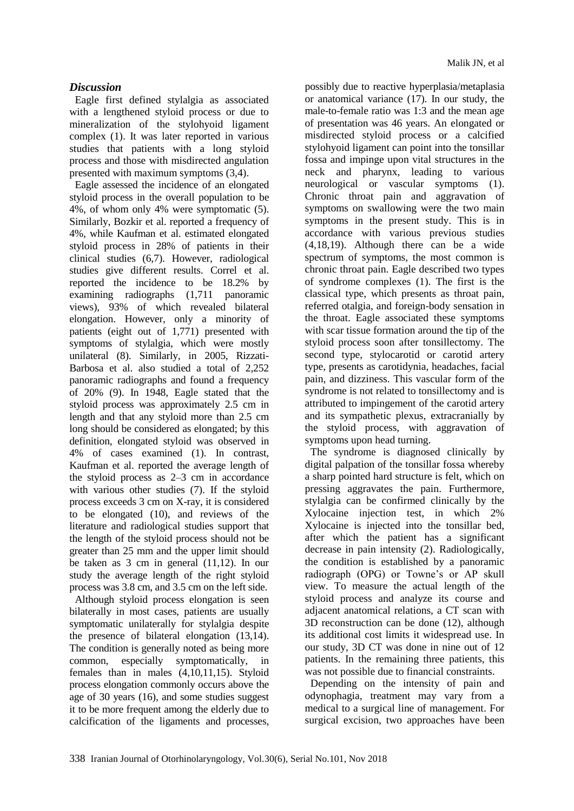### *Discussion*

Eagle first defined stylalgia as associated with a lengthened styloid process or due to mineralization of the stylohyoid ligament complex (1). It was later reported in various studies that patients with a long styloid process and those with misdirected angulation presented with maximum symptoms (3,4).

Eagle assessed the incidence of an elongated styloid process in the overall population to be 4%, of whom only 4% were symptomatic (5). Similarly, Bozkir et al. reported a frequency of 4%, while Kaufman et al. estimated elongated styloid process in 28% of patients in their clinical studies (6,7). However, radiological studies give different results. Correl et al. reported the incidence to be 18.2% by examining radiographs (1,711 panoramic views), 93% of which revealed bilateral elongation. However, only a minority of patients (eight out of 1,771) presented with symptoms of stylalgia, which were mostly unilateral (8). Similarly, in 2005, Rizzati-Barbosa et al. also studied a total of 2,252 panoramic radiographs and found a frequency of 20% (9). In 1948, Eagle stated that the styloid process was approximately 2.5 cm in length and that any styloid more than 2.5 cm long should be considered as elongated; by this definition, elongated styloid was observed in 4% of cases examined (1). In contrast, Kaufman et al. reported the average length of the styloid process as 2–3 cm in accordance with various other studies (7). If the styloid process exceeds 3 cm on X-ray, it is considered to be elongated (10), and reviews of the literature and radiological studies support that the length of the styloid process should not be greater than 25 mm and the upper limit should be taken as 3 cm in general (11,12). In our study the average length of the right styloid process was 3.8 cm, and 3.5 cm on the left side.

Although styloid process elongation is seen bilaterally in most cases, patients are usually symptomatic unilaterally for stylalgia despite the presence of bilateral elongation (13,14). The condition is generally noted as being more common, especially symptomatically, in females than in males (4,10,11,15). Styloid process elongation commonly occurs above the age of 30 years (16), and some studies suggest it to be more frequent among the elderly due to calcification of the ligaments and processes, possibly due to reactive hyperplasia/metaplasia or anatomical variance (17). In our study, the male-to-female ratio was 1:3 and the mean age of presentation was 46 years. An elongated or misdirected styloid process or a calcified stylohyoid ligament can point into the tonsillar fossa and impinge upon vital structures in the neck and pharynx, leading to various neurological or vascular symptoms (1). Chronic throat pain and aggravation of symptoms on swallowing were the two main symptoms in the present study. This is in accordance with various previous studies (4,18,19). Although there can be a wide spectrum of symptoms, the most common is chronic throat pain. Eagle described two types of syndrome complexes (1). The first is the classical type, which presents as throat pain, referred otalgia, and foreign-body sensation in the throat. Eagle associated these symptoms with scar tissue formation around the tip of the styloid process soon after tonsillectomy. The second type, stylocarotid or carotid artery type, presents as carotidynia, headaches, facial pain, and dizziness. This vascular form of the syndrome is not related to tonsillectomy and is attributed to impingement of the carotid artery and its sympathetic plexus, extracranially by the styloid process, with aggravation of symptoms upon head turning.

The syndrome is diagnosed clinically by digital palpation of the tonsillar fossa whereby a sharp pointed hard structure is felt, which on pressing aggravates the pain. Furthermore, stylalgia can be confirmed clinically by the Xylocaine injection test, in which 2% Xylocaine is injected into the tonsillar bed, after which the patient has a significant decrease in pain intensity (2). Radiologically, the condition is established by a panoramic radiograph (OPG) or Towne's or AP skull view. To measure the actual length of the styloid process and analyze its course and adjacent anatomical relations, a CT scan with 3D reconstruction can be done (12), although its additional cost limits it widespread use. In our study, 3D CT was done in nine out of 12 patients. In the remaining three patients, this was not possible due to financial constraints.

Depending on the intensity of pain and odynophagia, treatment may vary from a medical to a surgical line of management. For surgical excision, two approaches have been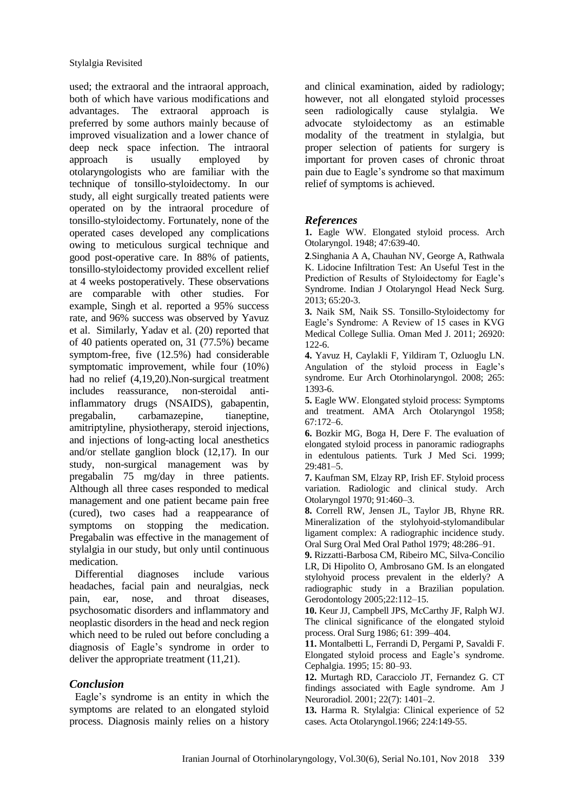used; the extraoral and the intraoral approach, both of which have various modifications and advantages. The extraoral approach is preferred by some authors mainly because of improved visualization and a lower chance of deep neck space infection. The intraoral approach is usually employed by otolaryngologists who are familiar with the technique of tonsillo-styloidectomy. In our study, all eight surgically treated patients were operated on by the intraoral procedure of tonsillo-styloidectomy. Fortunately, none of the operated cases developed any complications owing to meticulous surgical technique and good post-operative care. In 88% of patients, tonsillo-styloidectomy provided excellent relief at 4 weeks postoperatively. These observations are comparable with other studies. For example, Singh et al. reported a 95% success rate, and 96% success was observed by Yavuz et al. Similarly, Yadav et al. (20) reported that of 40 patients operated on, 31 (77.5%) became symptom-free, five (12.5%) had considerable symptomatic improvement, while four (10%) had no relief (4,19,20).Non-surgical treatment includes reassurance, non-steroidal antiinflammatory drugs (NSAIDS), gabapentin, pregabalin, carbamazepine, tianeptine, amitriptyline, physiotherapy, steroid injections, and injections of long-acting local anesthetics and/or stellate ganglion block (12,17). In our study, non-surgical management was by pregabalin 75 mg/day in three patients. Although all three cases responded to medical management and one patient became pain free (cured), two cases had a reappearance of symptoms on stopping the medication. Pregabalin was effective in the management of stylalgia in our study, but only until continuous medication.

Differential diagnoses include various headaches, facial pain and neuralgias, neck pain, ear, nose, and throat diseases, psychosomatic disorders and inflammatory and neoplastic disorders in the head and neck region which need to be ruled out before concluding a diagnosis of Eagle's syndrome in order to deliver the appropriate treatment (11,21).

#### *Conclusion*

Eagle's syndrome is an entity in which the symptoms are related to an elongated styloid process. Diagnosis mainly relies on a history and clinical examination, aided by radiology; however, not all elongated styloid processes seen radiologically cause stylalgia. We advocate styloidectomy as an estimable modality of the treatment in stylalgia, but proper selection of patients for surgery is important for proven cases of chronic throat pain due to Eagle's syndrome so that maximum relief of symptoms is achieved.

#### *References*

**1.** Eagle WW. Elongated styloid process. Arch Otolaryngol. 1948; 47:639-40.

**2**.Singhania A A, Chauhan NV, George A, Rathwala K. Lidocine Infiltration Test: An Useful Test in the Prediction of Results of Styloidectomy for Eagle's Syndrome. Indian J Otolaryngol Head Neck Surg. 2013; 65:20-3.

**3.** Naik SM, Naik SS. Tonsillo-Styloidectomy for Eagle's Syndrome: A Review of 15 cases in KVG Medical College Sullia. Oman Med J. 2011; 26920: 122-6.

**4.** Yavuz H, Caylakli F, Yildiram T, Ozluoglu LN. Angulation of the styloid process in Eagle's syndrome. Eur Arch Otorhinolaryngol. 2008; 265: 1393-6.

**5.** Eagle WW. Elongated styloid process: Symptoms and treatment. AMA Arch Otolaryngol 1958; 67:172–6.

**6.** Bozkir MG, Boga H, Dere F. The evaluation of elongated styloid process in panoramic radiographs in edentulous patients. Turk J Med Sci. 1999; 29:481–5.

**7.** Kaufman SM, Elzay RP, Irish EF. Styloid process variation. Radiologic and clinical study. Arch Otolaryngol 1970; 91:460–3.

**8.** Correll RW, Jensen JL, Taylor JB, Rhyne RR. Mineralization of the stylohyoid-stylomandibular ligament complex: A radiographic incidence study. Oral Surg Oral Med Oral Pathol 1979; 48:286–91.

**9.** Rizzatti-Barbosa CM, Ribeiro MC, Silva-Concilio LR, Di Hipolito O, Ambrosano GM. Is an elongated stylohyoid process prevalent in the elderly? A radiographic study in a Brazilian population. Gerodontology 2005;22:112–15.

**10.** Keur JJ, Campbell JPS, McCarthy JF, Ralph WJ. The clinical significance of the elongated styloid process. Oral Surg 1986; 61: 399–404.

**11.** Montalbetti L, Ferrandi D, Pergami P, Savaldi F. Elongated styloid process and Eagle's syndrome. Cephalgia. 1995; 15: 80–93.

**12.** Murtagh RD, Caracciolo JT, Fernandez G. CT findings associated with Eagle syndrome. Am J Neuroradiol. 2001; 22(7): 1401–2.

**13.** Harma R. Stylalgia: Clinical experience of 52 cases. Acta Otolaryngol.1966; 224:149-55.